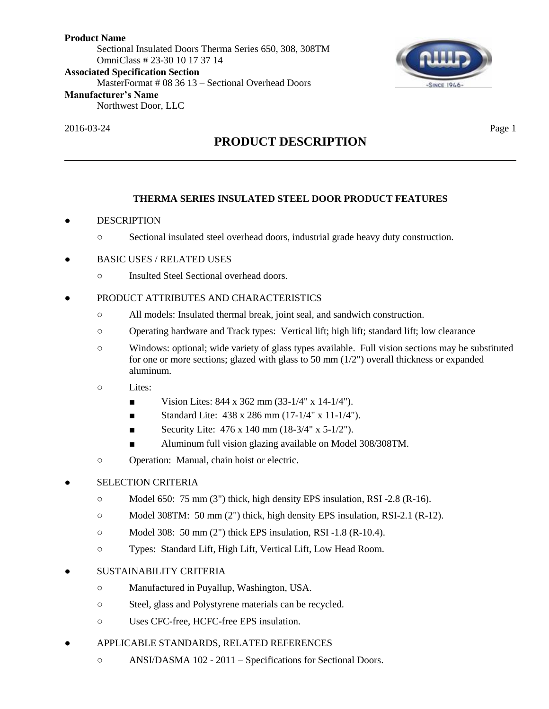**Product Name** Sectional Insulated Doors Therma Series 650, 308, 308TM OmniClass # 23-30 10 17 37 14 **Associated Specification Section** MasterFormat # 08 36 13 – Sectional Overhead Doors **Manufacturer's Name** Northwest Door, LLC



2016-03-24 Page 1

# **PRODUCT DESCRIPTION**

# **THERMA SERIES INSULATED STEEL DOOR PRODUCT FEATURES**

# **DESCRIPTION**

- Sectional insulated steel overhead doors, industrial grade heavy duty construction.
- BASIC USES / RELATED USES
	- Insulted Steel Sectional overhead doors.
- PRODUCT ATTRIBUTES AND CHARACTERISTICS
	- All models: Insulated thermal break, joint seal, and sandwich construction.
	- Operating hardware and Track types: Vertical lift; high lift; standard lift; low clearance
	- Windows: optional; wide variety of glass types available. Full vision sections may be substituted for one or more sections; glazed with glass to 50 mm (1/2") overall thickness or expanded aluminum.
	- Lites:
		- Vision Lites:  $844 \times 362 \text{ mm} (33-1/4" \times 14-1/4").$
		- Standard Lite:  $438 \times 286$  mm  $(17-1/4" \times 11-1/4")$ .
		- Security Lite:  $476 \times 140 \text{ mm}$  (18-3/4"  $\times 5\text{-}1/2$ ").
		- Aluminum full vision glazing available on Model 308/308TM.
	- Operation: Manual, chain hoist or electric.
- **SELECTION CRITERIA** 
	- $\circ$  Model 650: 75 mm (3") thick, high density EPS insulation, RSI -2.8 (R-16).
	- $\circ$  Model 308TM: 50 mm (2") thick, high density EPS insulation, RSI-2.1 (R-12).
	- Model 308: 50 mm (2") thick EPS insulation, RSI -1.8 (R-10.4).
	- Types: Standard Lift, High Lift, Vertical Lift, Low Head Room.
- SUSTAINABILITY CRITERIA
	- Manufactured in Puyallup, Washington, USA.
	- Steel, glass and Polystyrene materials can be recycled.
	- Uses CFC-free, HCFC-free EPS insulation.
- APPLICABLE STANDARDS, RELATED REFERENCES
	- ANSI/DASMA 102 2011 Specifications for Sectional Doors.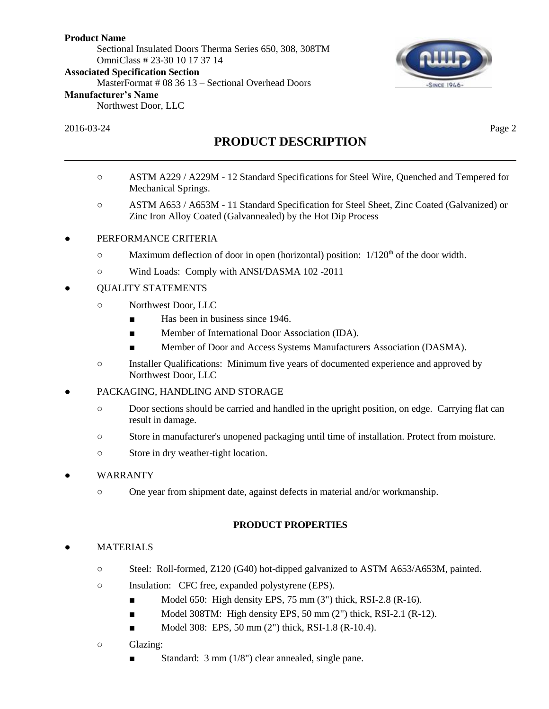Sectional Insulated Doors Therma Series 650, 308, 308TM OmniClass # 23-30 10 17 37 14

**Associated Specification Section**

MasterFormat # 08 36 13 – Sectional Overhead Doors

#### **Manufacturer's Name**

Northwest Door, LLC

## 2016-03-24 Page 2

**SINCE 1946** 

# **PRODUCT DESCRIPTION**

- ASTM A229 / A229M 12 Standard Specifications for Steel Wire, Quenched and Tempered for Mechanical Springs.
- ASTM A653 / A653M 11 Standard Specification for Steel Sheet, Zinc Coated (Galvanized) or Zinc Iron Alloy Coated (Galvannealed) by the Hot Dip Process

## PERFORMANCE CRITERIA

- Maximum deflection of door in open (horizontal) position:  $1/120<sup>th</sup>$  of the door width.
- Wind Loads: Comply with ANSI/DASMA 102 -2011
- QUALITY STATEMENTS
	- Northwest Door, LLC
		- Has been in business since 1946.
		- Member of International Door Association (IDA).
		- Member of Door and Access Systems Manufacturers Association (DASMA).
	- Installer Qualifications: Minimum five years of documented experience and approved by Northwest Door, LLC
- PACKAGING, HANDLING AND STORAGE
	- Door sections should be carried and handled in the upright position, on edge. Carrying flat can result in damage.
	- Store in manufacturer's unopened packaging until time of installation. Protect from moisture.
	- Store in dry weather-tight location.

## **WARRANTY**

○ One year from shipment date, against defects in material and/or workmanship.

## **PRODUCT PROPERTIES**

# **MATERIALS**

- Steel: Roll-formed, Z120 (G40) hot-dipped galvanized to ASTM A653/A653M, painted.
- Insulation: CFC free, expanded polystyrene (EPS).
	- Model 650: High density EPS, 75 mm (3") thick, RSI-2.8 (R-16).
	- Model 308TM: High density EPS, 50 mm (2") thick, RSI-2.1 (R-12).
	- $\blacksquare$  Model 308: EPS, 50 mm (2") thick, RSI-1.8 (R-10.4).
- Glazing:
	- Standard: 3 mm (1/8") clear annealed, single pane.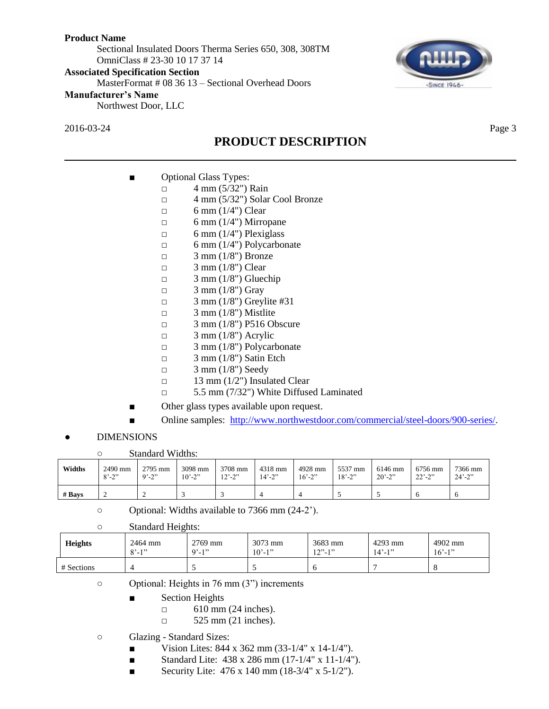Sectional Insulated Doors Therma Series 650, 308, 308TM OmniClass # 23-30 10 17 37 14

#### **Associated Specification Section**

MasterFormat # 08 36 13 – Sectional Overhead Doors

#### **Manufacturer's Name**

Northwest Door, LLC

2016-03-24 Page 3

# **PRODUCT DESCRIPTION**

# ■ Optional Glass Types:

- $\Box$  4 mm (5/32") Rain
	- □ 4 mm (5/32") Solar Cool Bronze
	- $\Box$  6 mm (1/4") Clear
	- $\Box$  6 mm (1/4") Mirropane
	- $\Box$  6 mm (1/4") Plexiglass
	- $\Box$  6 mm (1/4") Polycarbonate
	- $\Box$  3 mm (1/8") Bronze
	- $\Box$  3 mm (1/8") Clear
	- $\Box$  3 mm (1/8") Gluechip
	- $\Box$  3 mm (1/8") Gray
	- $\Box$  3 mm (1/8") Greylite #31
	- $\Box$  3 mm (1/8") Mistlite
	- □ 3 mm (1/8") P516 Obscure
	- $\Box$  3 mm (1/8") Acrylic
	- □ 3 mm (1/8") Polycarbonate
	- $\Box$  3 mm (1/8") Satin Etch
	- $\Box$  3 mm (1/8") Seedy
	- $\Box$  13 mm (1/2") Insulated Clear
	- □ 5.5 mm (7/32") White Diffused Laminated
- Other glass types available upon request.
- Online samples: [http://www.northwestdoor.com/commercial/steel-doors/900-series/.](http://www.northwestdoor.com/commercial/steel-doors/900-series/)
- **DIMENSIONS**

○ Standard Widths:

| Widths   | 2490 mm                 | 2795 mm    | 3098 mm                  | 3708 mm                      | 4318 mm                  | 4928 mm    | 5537 mm                  | 6146 mm    | 6756 mm     | 7366 mm     |
|----------|-------------------------|------------|--------------------------|------------------------------|--------------------------|------------|--------------------------|------------|-------------|-------------|
|          | $8^{\circ} - 2^{\circ}$ | $9' - 2''$ | $10^{\circ} - 2^{\circ}$ | $12^{\degree} - 2^{\degree}$ | $14^{\circ} - 2^{\circ}$ | $16' - 2"$ | $18^{\circ} - 2^{\circ}$ | $20' - 2"$ | $22' - 2''$ | $24' - 2''$ |
| $#$ Bays |                         | ∸          |                          |                              |                          |            |                          |            | O           |             |

○ Optional: Widths available to 7366 mm (24-2').

| $\circ$ | <b>Standard Heights:</b> |
|---------|--------------------------|
|---------|--------------------------|

| <b>Heights</b> | 2464 mm<br>$Q^2$ 1 <sup>22</sup><br>$-1$ | 2769 mm<br>$9' - 1''$ | $3073$ mm<br>$10' - 1''$ | 3683 mm<br>$12"$ -1" | 4293 mm<br>$14' - 1''$ | 4902 mm<br>$16' - 1"$ |
|----------------|------------------------------------------|-----------------------|--------------------------|----------------------|------------------------|-----------------------|
| # Sections     | 4                                        |                       |                          |                      |                        |                       |

○ Optional: Heights in 76 mm (3") increments

- Section Heights
	- $\Box$  610 mm (24 inches).
	- □ 525 mm (21 inches).

○ Glazing - Standard Sizes:

- Vision Lites:  $844 \times 362 \text{ mm} (33-1/4" \times 14-1/4").$
- Standard Lite: 438 x 286 mm (17-1/4" x 11-1/4").
- Security Lite:  $476 \times 140$  mm  $(18-3/4" \times 5-1/2")$ .

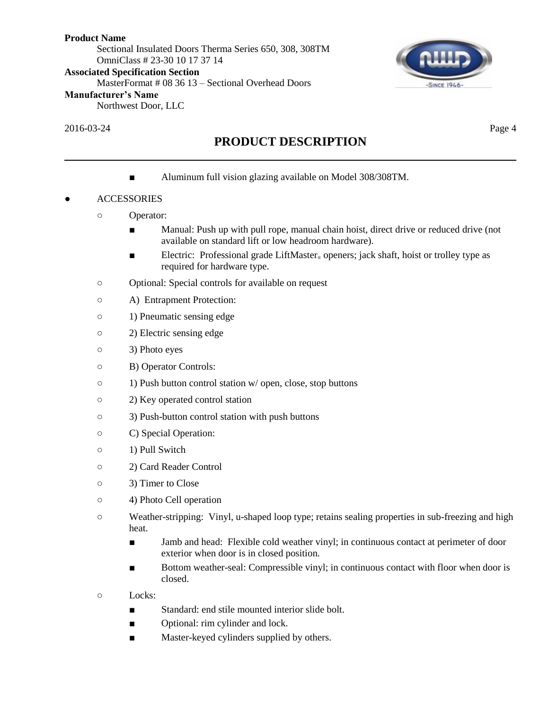Sectional Insulated Doors Therma Series 650, 308, 308TM OmniClass # 23-30 10 17 37 14

**Associated Specification Section**

MasterFormat # 08 36 13 – Sectional Overhead Doors

#### **Manufacturer's Name**

Northwest Door, LLC

## 2016-03-24 Page 4

# **PRODUCT DESCRIPTION**

■ Aluminum full vision glazing available on Model 308/308TM.

# **ACCESSORIES**

- Operator:
	- Manual: Push up with pull rope, manual chain hoist, direct drive or reduced drive (not available on standard lift or low headroom hardware).
	- Electric: Professional grade LiftMaster<sub>®</sub> openers; jack shaft, hoist or trolley type as required for hardware type.
- Optional: Special controls for available on request
- A) Entrapment Protection:
- 1) Pneumatic sensing edge
- 2) Electric sensing edge
- 3) Photo eyes
- B) Operator Controls:
- 1) Push button control station w/ open, close, stop buttons
- 2) Key operated control station
- 3) Push-button control station with push buttons
- C) Special Operation:
- 1) Pull Switch
- 2) Card Reader Control
- 3) Timer to Close
- 4) Photo Cell operation
- Weather-stripping: Vinyl, u-shaped loop type; retains sealing properties in sub-freezing and high heat.
	- Jamb and head: Flexible cold weather vinyl; in continuous contact at perimeter of door exterior when door is in closed position.
	- Bottom weather-seal: Compressible vinyl; in continuous contact with floor when door is closed.
- Locks:
	- Standard: end stile mounted interior slide bolt.
	- Optional: rim cylinder and lock.
	- Master-keyed cylinders supplied by others.

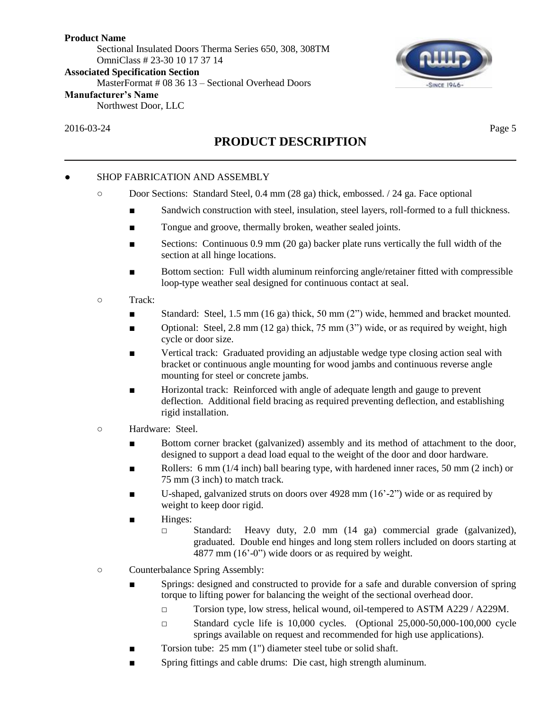Sectional Insulated Doors Therma Series 650, 308, 308TM OmniClass # 23-30 10 17 37 14

**Associated Specification Section**

MasterFormat # 08 36 13 – Sectional Overhead Doors

#### **Manufacturer's Name**

Northwest Door, LLC

2016-03-24 Page 5

# **SINCE 1946**

# **PRODUCT DESCRIPTION**

## SHOP FABRICATION AND ASSEMBLY

- Door Sections: Standard Steel, 0.4 mm (28 ga) thick, embossed. / 24 ga. Face optional
	- Sandwich construction with steel, insulation, steel layers, roll-formed to a full thickness.
	- Tongue and groove, thermally broken, weather sealed joints.
	- Sections: Continuous 0.9 mm (20 ga) backer plate runs vertically the full width of the section at all hinge locations.
	- Bottom section: Full width aluminum reinforcing angle/retainer fitted with compressible loop-type weather seal designed for continuous contact at seal.
- Track:
	- Standard: Steel, 1.5 mm (16 ga) thick, 50 mm (2") wide, hemmed and bracket mounted.
	- **•** Optional: Steel, 2.8 mm (12 ga) thick, 75 mm (3") wide, or as required by weight, high cycle or door size.
	- Vertical track: Graduated providing an adjustable wedge type closing action seal with bracket or continuous angle mounting for wood jambs and continuous reverse angle mounting for steel or concrete jambs.
	- Horizontal track: Reinforced with angle of adequate length and gauge to prevent deflection. Additional field bracing as required preventing deflection, and establishing rigid installation.
- Hardware: Steel.
	- Bottom corner bracket (galvanized) assembly and its method of attachment to the door, designed to support a dead load equal to the weight of the door and door hardware.
	- Rollers: 6 mm  $(1/4$  inch) ball bearing type, with hardened inner races, 50 mm  $(2 \text{ inch})$  or 75 mm (3 inch) to match track.
	- U-shaped, galvanized struts on doors over  $4928 \text{ mm}$  (16'-2") wide or as required by weight to keep door rigid.
	- Hinges:
		- □ Standard: Heavy duty, 2.0 mm (14 ga) commercial grade (galvanized), graduated. Double end hinges and long stem rollers included on doors starting at 4877 mm (16'-0") wide doors or as required by weight.
- Counterbalance Spring Assembly:
	- Springs: designed and constructed to provide for a safe and durable conversion of spring torque to lifting power for balancing the weight of the sectional overhead door.
		- □ Torsion type, low stress, helical wound, oil-tempered to ASTM A229 / A229M.
		- $\Box$  Standard cycle life is 10,000 cycles. (Optional 25,000-50,000-100,000 cycle springs available on request and recommended for high use applications).
	- Torsion tube: 25 mm (1") diameter steel tube or solid shaft.
	- Spring fittings and cable drums: Die cast, high strength aluminum.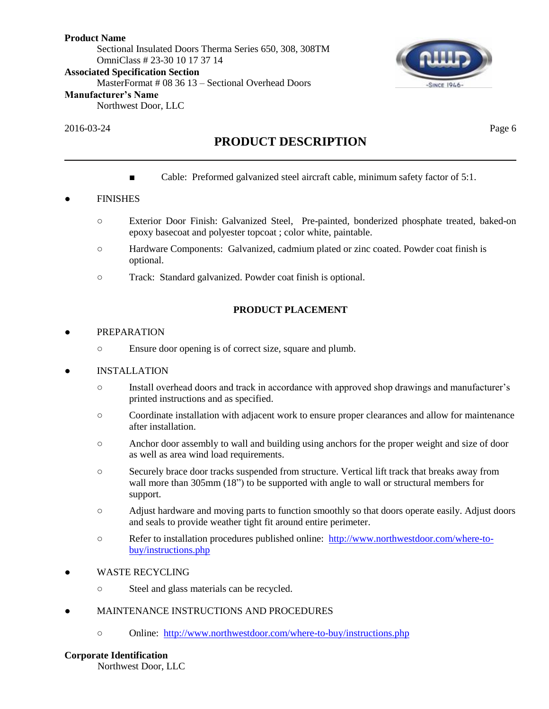# **Product Name** Sectional Insulated Doors Therma Series 650, 308, 308TM OmniClass # 23-30 10 17 37 14

**Associated Specification Section**

MasterFormat # 08 36 13 – Sectional Overhead Doors

## **Manufacturer's Name**

Northwest Door, LLC

## 2016-03-24 Page 6

**SINCE 1946** 

# **PRODUCT DESCRIPTION**

■ Cable: Preformed galvanized steel aircraft cable, minimum safety factor of 5:1.

# **FINISHES**

- Exterior Door Finish: Galvanized Steel, Pre-painted, bonderized phosphate treated, baked-on epoxy basecoat and polyester topcoat ; color white, paintable.
- Hardware Components: Galvanized, cadmium plated or zinc coated. Powder coat finish is optional.
- Track: Standard galvanized. Powder coat finish is optional.

# **PRODUCT PLACEMENT**

## **PREPARATION**

○ Ensure door opening is of correct size, square and plumb.

## **INSTALLATION**

- Install overhead doors and track in accordance with approved shop drawings and manufacturer's printed instructions and as specified.
- Coordinate installation with adjacent work to ensure proper clearances and allow for maintenance after installation.
- Anchor door assembly to wall and building using anchors for the proper weight and size of door as well as area wind load requirements.
- Securely brace door tracks suspended from structure. Vertical lift track that breaks away from wall more than 305mm (18") to be supported with angle to wall or structural members for support.
- Adjust hardware and moving parts to function smoothly so that doors operate easily. Adjust doors and seals to provide weather tight fit around entire perimeter.
- Refer to installation procedures published online: [http://www.northwestdoor.com/where-to](http://www.northwestdoor.com/where-to-buy/instructions.php)[buy/instructions.php](http://www.northwestdoor.com/where-to-buy/instructions.php)
- WASTE RECYCLING
	- Steel and glass materials can be recycled.
- MAINTENANCE INSTRUCTIONS AND PROCEDURES
	- Online: <http://www.northwestdoor.com/where-to-buy/instructions.php>

## **Corporate Identification**

Northwest Door, LLC